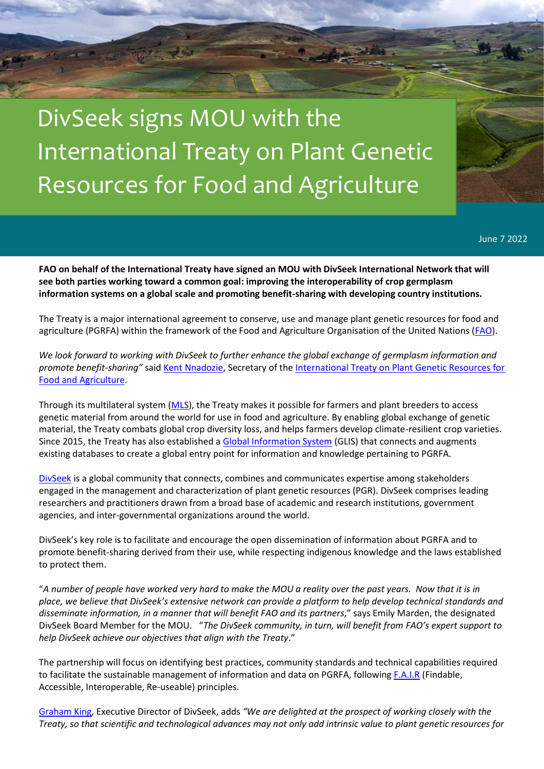## DivSeek signs MOU with the International Treaty on Plant Genetic Resources for Food and Agriculture

June 7 2022

**FAO on behalf of the International Treaty have signed an MOU with DivSeek International Network that will see both parties working toward a common goal: improving the interoperability of crop germplasm information systems on a global scale and promoting benefit-sharing with developing country institutions.** 

The Treaty is a major international agreement to conserve, use and manage plant genetic resources for food and agriculture (PGRFA) within the framework of the Food and Agriculture Organisation of the United Nations [\(FAO\)](https://www.fao.org/home/en).

*We look forward to working with DivSeek to further enhance the global exchange of germplasm information and promote benefit-sharing"* said [Kent Nnadozie,](https://www.fao.org/plant-treaty/the-secretariat/the-secretary/en/) Secretary of the [International Treaty on Plant Genetic Resources for](https://www.fao.org/plant-treaty/en/)  [Food and Agriculture.](https://www.fao.org/plant-treaty/en/)

Through its multilateral system [\(MLS\)](https://www.fao.org/plant-treaty/areas-of-work/the-multilateral-system/overview/en/), the Treaty makes it possible for farmers and plant breeders to access genetic material from around the world for use in food and agriculture. By enabling global exchange of genetic material, the Treaty combats global crop diversity loss, and helps farmers develop climate-resilient crop varieties. Since 2015, the Treaty has also established a [Global Information System](https://www.fao.org/plant-treaty/areas-of-work/global-information-system/en/) (GLIS) that connects and augments existing databases to create a global entry point for information and knowledge pertaining to PGRFA.

[DivSeek](https://divseekintl.org/) is a global community that connects, combines and communicates expertise among stakeholders engaged in the management and characterization of plant genetic resources (PGR). DivSeek comprises leading researchers and practitioners drawn from a broad base of academic and research institutions, government agencies, and inter-governmental organizations around the world.

DivSeek's key role is to facilitate and encourage the open dissemination of information about PGRFA and to promote benefit-sharing derived from their use, while respecting indigenous knowledge and the laws established to protect them.

"*A number of people have worked very hard to make the MOU a reality over the past years. Now that it is in place, we believe that DivSeek's extensive network can provide a platform to help develop technical standards and disseminate information, in a manner that will benefit FAO and its partners*," says Emily Marden, the designated DivSeek Board Member for the MOU. "*The DivSeek community, in turn, will benefit from FAO's expert support to help DivSeek achieve our objectives that align with the Treaty*."

The partnership will focus on identifying best practices, community standards and technical capabilities required to facilitate the sustainable management of information and data on PGRFA, following [F.A.I.R](https://www.nature.com/articles/sdata201618) (Findable, Accessible, Interoperable, Re-useable) principles.

[Graham King,](https://divseekintl.org/board_of_directors/graham-king/) Executive Director of DivSeek, adds *"We are delighted at the prospect of working closely with the Treaty, so that scientific and technological advances may not only add intrinsic value to plant genetic resources for*